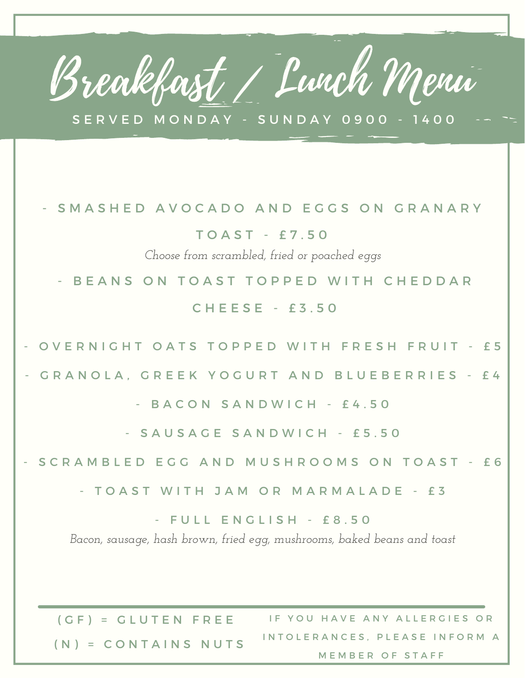## Breakfast / Lunch Menu

S E R V E D M O N D A Y - S U N D A Y 0 9 0 0 - 14 0 0

## S M A S H E D A V O C A D O A N D E G G S O N G R A N A R Y

T O A S T - £ 7 . 5 0

*Choose from scrambled, fried or poached eggs*

- BEANS ON TOAST TOPPED WITH CHEDDAR

C H E E S E - £ 3 . 5 0

OVERNIGHT OATS TOPPED WITH FRESH FRUIT - £5

GRANOLA, GREEK YOGURT AND BLUEBERRIES - £4

- B A C O N S A N D W I C H - £ 4.50

- SAUSAGE SANDWICH - £5.50

S C R A M B L E D E G G A N D M U S H R O O M S O N T O A S T - £ 6

- TOAST WITH JAM OR MARMALADE - £3

- FULL ENGLISH - £8.50

*Bacon, sausage, hash brown, fried egg, mushrooms, baked beans and toast*

 $(GF) = GLUTEN FREE$  $(N) =$  CONTAINS NUTS IF YOU HAVE ANY ALLERGIES OR INTOLERANCES. PLEASE INFORM A MEMBER OF STAFF